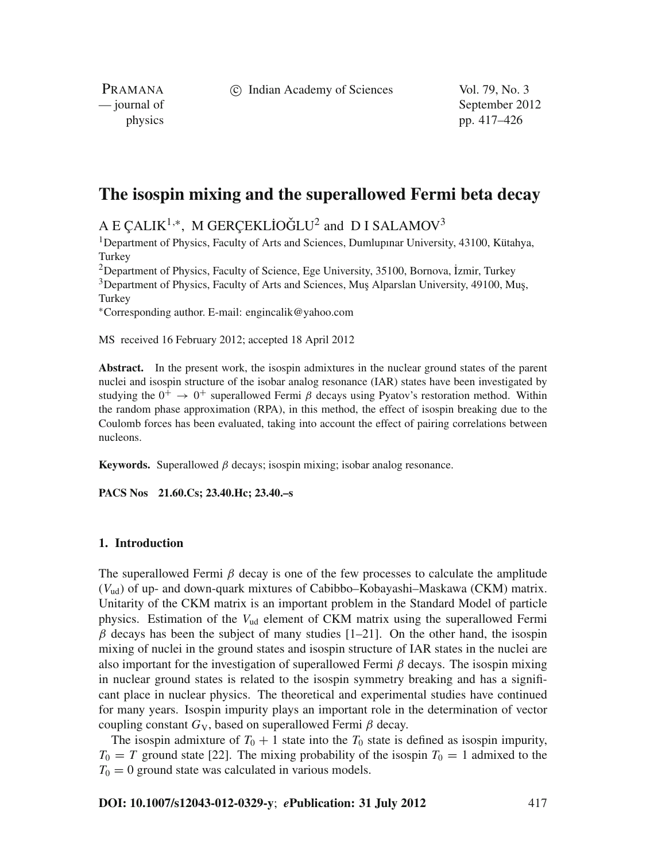c Indian Academy of Sciences Vol. 79, No. 3

PRAMANA

— journal of September 2012 physics pp. 417–426

# **The isospin mixing and the superallowed Fermi beta decay**

A E ÇALIK<sup>1,∗</sup>, M GERÇEKLİOĞLU<sup>2</sup> and D I SALAMOV<sup>3</sup>

<sup>1</sup>Department of Physics, Faculty of Arts and Sciences, Dumlupinar University, 43100, Kütahya, **Turkey** 

 $2$ Department of Physics, Faculty of Science, Ege University, 35100, Bornova, İzmir, Turkey <sup>3</sup>Department of Physics, Faculty of Arts and Sciences, Muş Alparslan University, 49100, Muş, **Turkey** 

<sup>∗</sup>Corresponding author. E-mail: engincalik@yahoo.com

MS received 16 February 2012; accepted 18 April 2012

**Abstract.** In the present work, the isospin admixtures in the nuclear ground states of the parent nuclei and isospin structure of the isobar analog resonance (IAR) states have been investigated by studying the  $0^+ \rightarrow 0^+$  superallowed Fermi  $\beta$  decays using Pyatov's restoration method. Within the random phase approximation (RPA), in this method, the effect of isospin breaking due to the Coulomb forces has been evaluated, taking into account the effect of pairing correlations between nucleons.

**Keywords.** Superallowed  $\beta$  decays; isospin mixing; isobar analog resonance.

**PACS Nos 21.60.Cs; 23.40.Hc; 23.40.–s**

## **1. Introduction**

The superallowed Fermi  $\beta$  decay is one of the few processes to calculate the amplitude (*V*ud) of up- and down-quark mixtures of Cabibbo–Kobayashi–Maskawa (CKM) matrix. Unitarity of the CKM matrix is an important problem in the Standard Model of particle physics. Estimation of the *V*ud element of CKM matrix using the superallowed Fermi  $\beta$  decays has been the subject of many studies [1–21]. On the other hand, the isospin mixing of nuclei in the ground states and isospin structure of IAR states in the nuclei are also important for the investigation of superallowed Fermi  $\beta$  decays. The isospin mixing in nuclear ground states is related to the isospin symmetry breaking and has a significant place in nuclear physics. The theoretical and experimental studies have continued for many years. Isospin impurity plays an important role in the determination of vector coupling constant  $G_V$ , based on superallowed Fermi  $\beta$  decay.

The isospin admixture of  $T_0 + 1$  state into the  $T_0$  state is defined as isospin impurity,  $T_0 = T$  ground state [22]. The mixing probability of the isospin  $T_0 = 1$  admixed to the  $T_0 = 0$  ground state was calculated in various models.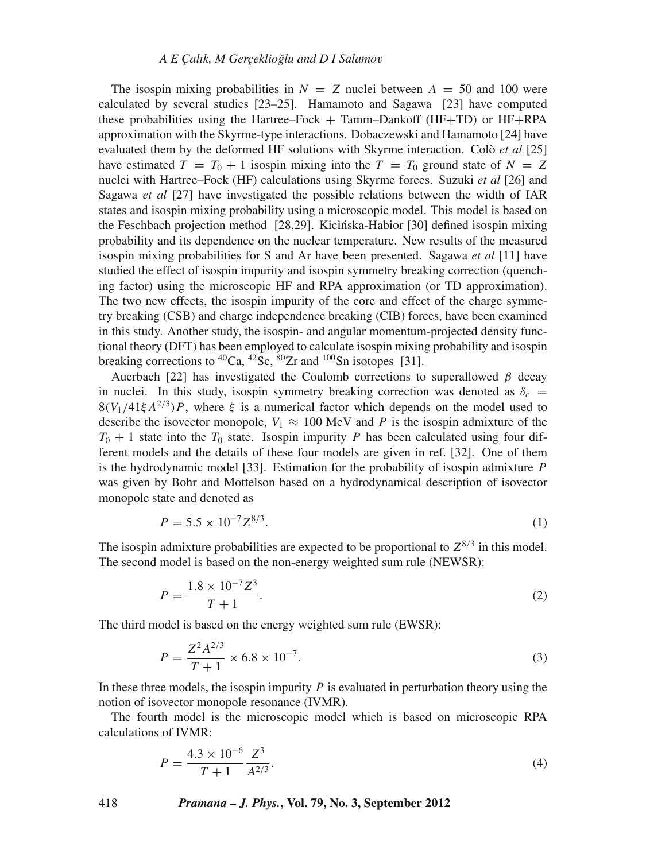The isospin mixing probabilities in  $N = Z$  nuclei between  $A = 50$  and 100 were calculated by several studies [23–25]. Hamamoto and Sagawa [23] have computed these probabilities using the Hartree–Fock + Tamm–Dankoff (HF+TD) or HF+RPA approximation with the Skyrme-type interactions. Dobaczewski and Hamamoto [24] have evaluated them by the deformed HF solutions with Skyrme interaction. Colò *et al* [25] have estimated  $T = T_0 + 1$  isospin mixing into the  $T = T_0$  ground state of  $N = Z$ nuclei with Hartree–Fock (HF) calculations using Skyrme forces. Suzuki *et al* [26] and Sagawa *et al* [27] have investigated the possible relations between the width of IAR states and isospin mixing probability using a microscopic model. This model is based on the Feschbach projection method [28,29]. Kicinska-Habior [30] defined isospin mixing ´ probability and its dependence on the nuclear temperature. New results of the measured isospin mixing probabilities for S and Ar have been presented. Sagawa *et al* [11] have studied the effect of isospin impurity and isospin symmetry breaking correction (quenching factor) using the microscopic HF and RPA approximation (or TD approximation). The two new effects, the isospin impurity of the core and effect of the charge symmetry breaking (CSB) and charge independence breaking (CIB) forces, have been examined in this study. Another study, the isospin- and angular momentum-projected density functional theory (DFT) has been employed to calculate isospin mixing probability and isospin breaking corrections to  ${}^{40}Ca$ ,  ${}^{42}Sc$ ,  ${}^{80}Zr$  and  ${}^{100}Sn$  isotopes [31].

Auerbach [22] has investigated the Coulomb corrections to superallowed  $\beta$  decay in nuclei. In this study, isospin symmetry breaking correction was denoted as  $\delta_c$  =  $8(V_1/41\xi A^{2/3})P$ , where  $\xi$  is a numerical factor which depends on the model used to describe the isovector monopole,  $V_1 \approx 100 \text{ MeV}$  and *P* is the isospin admixture of the  $T_0 + 1$  state into the  $T_0$  state. Isospin impurity *P* has been calculated using four different models and the details of these four models are given in ref. [32]. One of them is the hydrodynamic model [33]. Estimation for the probability of isospin admixture *P* was given by Bohr and Mottelson based on a hydrodynamical description of isovector monopole state and denoted as

$$
P = 5.5 \times 10^{-7} Z^{8/3}.
$$
 (1)

The isospin admixture probabilities are expected to be proportional to  $Z^{8/3}$  in this model. The second model is based on the non-energy weighted sum rule (NEWSR):

$$
P = \frac{1.8 \times 10^{-7} Z^3}{T + 1}.
$$
\n(2)

The third model is based on the energy weighted sum rule (EWSR):

$$
P = \frac{Z^2 A^{2/3}}{T+1} \times 6.8 \times 10^{-7}.
$$
 (3)

In these three models, the isospin impurity *P* is evaluated in perturbation theory using the notion of isovector monopole resonance (IVMR).

The fourth model is the microscopic model which is based on microscopic RPA calculations of IVMR:

$$
P = \frac{4.3 \times 10^{-6}}{T + 1} \frac{Z^3}{A^{2/3}}.
$$
\n(4)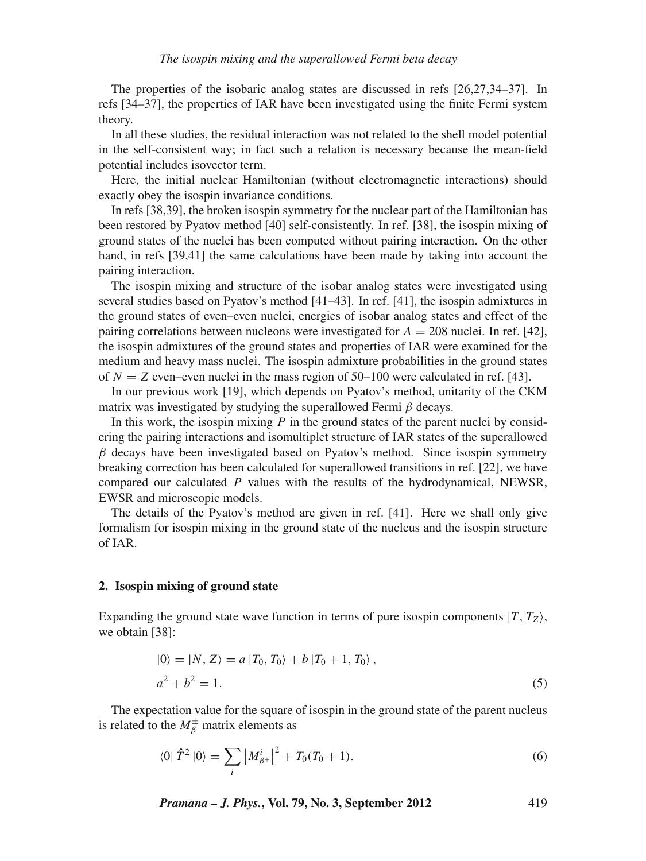The properties of the isobaric analog states are discussed in refs [26,27,34–37]. In refs [34–37], the properties of IAR have been investigated using the finite Fermi system theory.

In all these studies, the residual interaction was not related to the shell model potential in the self-consistent way; in fact such a relation is necessary because the mean-field potential includes isovector term.

Here, the initial nuclear Hamiltonian (without electromagnetic interactions) should exactly obey the isospin invariance conditions.

In refs [38,39], the broken isospin symmetry for the nuclear part of the Hamiltonian has been restored by Pyatov method [40] self-consistently. In ref. [38], the isospin mixing of ground states of the nuclei has been computed without pairing interaction. On the other hand, in refs [39,41] the same calculations have been made by taking into account the pairing interaction.

The isospin mixing and structure of the isobar analog states were investigated using several studies based on Pyatov's method [41–43]. In ref. [41], the isospin admixtures in the ground states of even–even nuclei, energies of isobar analog states and effect of the pairing correlations between nucleons were investigated for *A* = 208 nuclei. In ref. [42], the isospin admixtures of the ground states and properties of IAR were examined for the medium and heavy mass nuclei. The isospin admixture probabilities in the ground states of  $N = Z$  even–even nuclei in the mass region of 50–100 were calculated in ref. [43].

In our previous work [19], which depends on Pyatov's method, unitarity of the CKM matrix was investigated by studying the superallowed Fermi  $\beta$  decays.

In this work, the isospin mixing *P* in the ground states of the parent nuclei by considering the pairing interactions and isomultiplet structure of IAR states of the superallowed  $\beta$  decays have been investigated based on Pyatov's method. Since isospin symmetry breaking correction has been calculated for superallowed transitions in ref. [22], we have compared our calculated *P* values with the results of the hydrodynamical, NEWSR, EWSR and microscopic models.

The details of the Pyatov's method are given in ref. [41]. Here we shall only give formalism for isospin mixing in the ground state of the nucleus and the isospin structure of IAR.

## **2. Isospin mixing of ground state**

Expanding the ground state wave function in terms of pure isospin components  $|T, T_z\rangle$ , we obtain [38]:

$$
|0\rangle = |N, Z\rangle = a |T_0, T_0\rangle + b |T_0 + 1, T_0\rangle, a^2 + b^2 = 1.
$$
 (5)

The expectation value for the square of isospin in the ground state of the parent nucleus is related to the  $M^{\pm}_{\beta}$  matrix elements as

$$
\langle 0|\hat{T}^2|0\rangle = \sum_i |M_{\beta^+}^i|^2 + T_0(T_0 + 1). \tag{6}
$$

*Pramana – J. Phys.***, Vol. 79, No. 3, September 2012** 419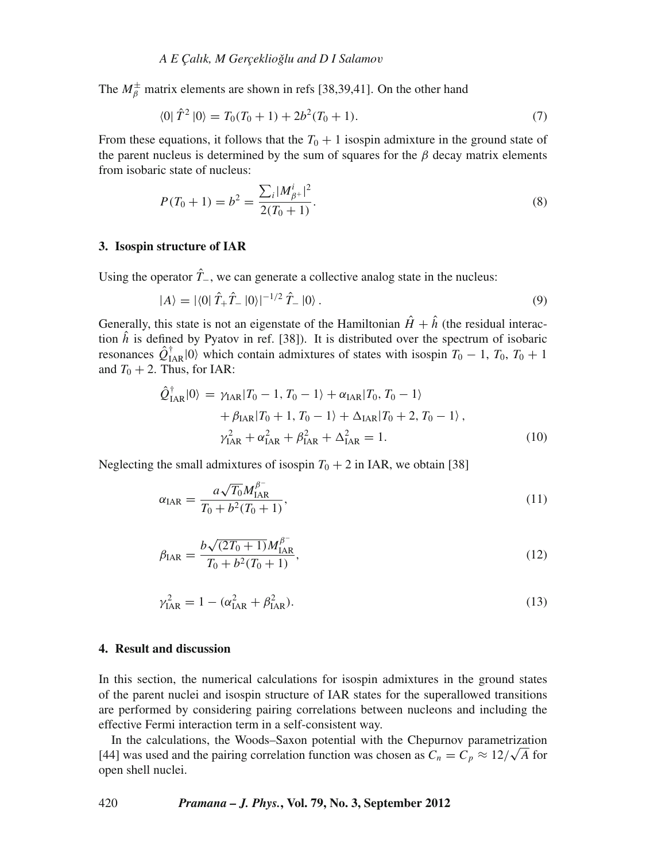The  $M^{\pm}_{\beta}$  matrix elements are shown in refs [38,39,41]. On the other hand

$$
\langle 0|\hat{T}^2|0\rangle = T_0(T_0 + 1) + 2b^2(T_0 + 1). \tag{7}
$$

From these equations, it follows that the  $T_0 + 1$  isospin admixture in the ground state of the parent nucleus is determined by the sum of squares for the  $\beta$  decay matrix elements from isobaric state of nucleus:

$$
P(T_0 + 1) = b^2 = \frac{\sum_i |M_{\beta+}^i|^2}{2(T_0 + 1)}.
$$
\n(8)

#### **3. Isospin structure of IAR**

Using the operator  $\hat{T}_-$ , we can generate a collective analog state in the nucleus:

$$
|A\rangle = |\langle 0|\hat{T}_{+}\hat{T}_{-}|0\rangle|^{-1/2}\hat{T}_{-}|0\rangle. \tag{9}
$$

Generally, this state is not an eigenstate of the Hamiltonian  $\hat{H} + \hat{h}$  (the residual interaction  $\hat{h}$  is defined by Pyatov in ref. [38]). It is distributed over the spectrum of isobaric resonances  $\hat{Q}^{\dagger}_{IAR}|0\rangle$  which contain admixtures of states with isospin  $T_0 - 1$ ,  $T_0$ ,  $T_0 + 1$ and  $T_0 + 2$ . Thus, for IAR:

$$
\hat{Q}_{IAR}^{\dagger}|0\rangle = \gamma_{IAR}|T_0 - 1, T_0 - 1\rangle + \alpha_{IAR}|T_0, T_0 - 1\rangle \n+ \beta_{IAR}|T_0 + 1, T_0 - 1\rangle + \Delta_{IAR}|T_0 + 2, T_0 - 1\rangle, \n\gamma_{IAR}^2 + \alpha_{IAR}^2 + \beta_{IAR}^2 + \Delta_{IAR}^2 = 1.
$$
\n(10)

Neglecting the small admixtures of isospin  $T_0 + 2$  in IAR, we obtain [38]

$$
\alpha_{IAR} = \frac{a\sqrt{T_0}M_{IAR}^{\beta^-}}{T_0 + b^2(T_0 + 1)},
$$
\n(11)

$$
\beta_{\text{IAR}} = \frac{b\sqrt{(2T_0 + 1)}M_{\text{IAR}}^{\beta^-}}{T_0 + b^2(T_0 + 1)},\tag{12}
$$

$$
\gamma_{IAR}^2 = 1 - (\alpha_{IAR}^2 + \beta_{IAR}^2). \tag{13}
$$

#### **4. Result and discussion**

In this section, the numerical calculations for isospin admixtures in the ground states of the parent nuclei and isospin structure of IAR states for the superallowed transitions are performed by considering pairing correlations between nucleons and including the effective Fermi interaction term in a self-consistent way.

In the calculations, the Woods–Saxon potential with the Chepurnov parametrization In the calculations, the woods-Saxon potential with the Chepurnov parametrization [44] was used and the pairing correlation function was chosen as  $C_n = C_p \approx 12/\sqrt{A}$  for open shell nuclei.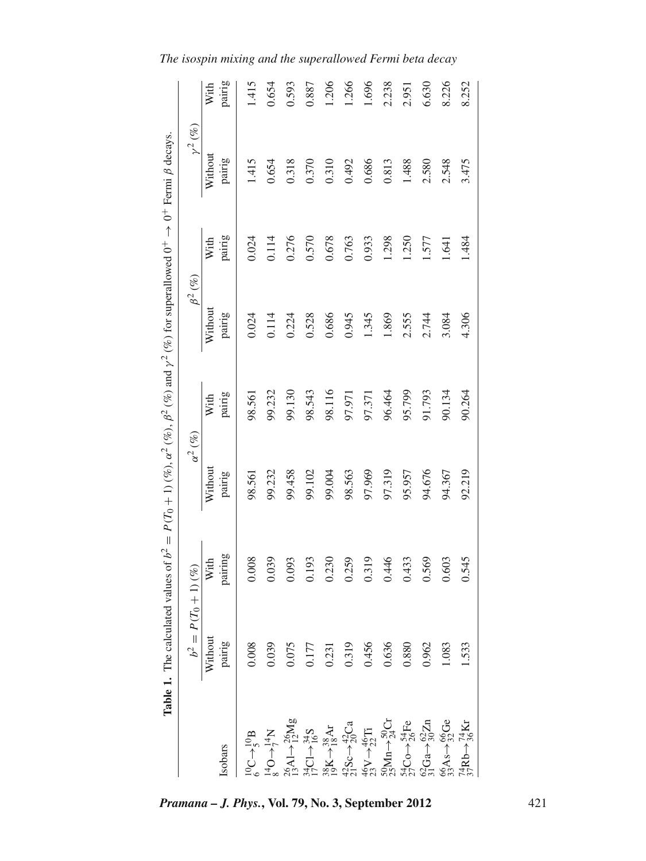|                                                                                                                                                                                                                                                                                                                                                                                          | <b>Table 1.</b> The calculated values of $b^2 = P(T_0 + 1)(\%)$ , $\alpha^2(\%)$ , $\beta^2(\%)$ and $\gamma^2(\%)$ for superallowed $0^+ \rightarrow 0^+$ Fermi $\beta$ decays. |         |                |        |                           |        |                         |        |
|------------------------------------------------------------------------------------------------------------------------------------------------------------------------------------------------------------------------------------------------------------------------------------------------------------------------------------------------------------------------------------------|----------------------------------------------------------------------------------------------------------------------------------------------------------------------------------|---------|----------------|--------|---------------------------|--------|-------------------------|--------|
|                                                                                                                                                                                                                                                                                                                                                                                          | $b^2 = P(T_0 + 1)$ (%)                                                                                                                                                           |         | $\alpha^2(\%)$ |        | $\beta^2\left(\% \right)$ |        | $\nu^2\left(\% \right)$ |        |
|                                                                                                                                                                                                                                                                                                                                                                                          | Without                                                                                                                                                                          | With    | Without        | With   | Without                   | With   | Without                 | With   |
| Isobars                                                                                                                                                                                                                                                                                                                                                                                  | pairig                                                                                                                                                                           | pairing | pairig         | pairig | pairig                    | pairig | pairig                  | pairig |
|                                                                                                                                                                                                                                                                                                                                                                                          | 0.008                                                                                                                                                                            | 0.008   | 98.561         | 98.561 | 0.024                     | 0.024  | 1.415                   | 1.415  |
|                                                                                                                                                                                                                                                                                                                                                                                          | 0.039                                                                                                                                                                            | 0.039   | 99.232         | 99.232 | 0.114                     | 0.114  | 0.654                   | 0.654  |
|                                                                                                                                                                                                                                                                                                                                                                                          |                                                                                                                                                                                  | 0.093   | 99.458         | 99.130 | 0.224                     | 0.276  | 0.318                   | 0.593  |
|                                                                                                                                                                                                                                                                                                                                                                                          |                                                                                                                                                                                  | 0.193   | 99.102         | 98.543 | 0.528                     | 0.570  | 0.370                   | 0.887  |
|                                                                                                                                                                                                                                                                                                                                                                                          | $\begin{array}{c} 0.075 \\ 0.177 \\ 0.231 \end{array}$                                                                                                                           | 0.230   | 99.004         | 98.116 | 0.686                     | 0.678  | 0.310                   | 1.206  |
|                                                                                                                                                                                                                                                                                                                                                                                          | 0.319                                                                                                                                                                            | 0.259   | 98.563         | 97.971 | 0.945                     | 0.763  | 0.492                   | 1.266  |
|                                                                                                                                                                                                                                                                                                                                                                                          | 0.456                                                                                                                                                                            | 0.319   | 97.969         | 97.371 | 1.345                     | 0.933  | 0.686                   | 1.696  |
|                                                                                                                                                                                                                                                                                                                                                                                          | 0.636                                                                                                                                                                            | 0.446   | 97.319         | 96.464 | 1.869                     | 1.298  | 0.813                   | 2.238  |
|                                                                                                                                                                                                                                                                                                                                                                                          | 0.880                                                                                                                                                                            | 0.433   | 95.957         | 95.799 | 2.555                     | 1.250  | 1.488                   | 2.951  |
| $[{{\rm O}C \to J_1^{\rm G} B}]\atop {s^4 \Delta C \to J_1^{\rm G} M_0^{\rm G}}\atop {s^4 \Delta C \to J_2^{\rm G} M_0^{\rm G}}\atop {s^4 \Delta C \to J_1^{\rm G} M_0^{\rm G}}\atop {s^4 \Delta C \to J_1^{\rm G} M_0^{\rm G}}\atop {s^4 \Delta C \to J_1^{\rm G} M_0^{\rm G}}\atop {s^4 \Delta C \to J_1^{\rm G} M_0^{\rm G}}\atop {s^4 \Delta C \to J_1^{\rm G} M_0^{\rm G}}\atop {s$ | 0.962                                                                                                                                                                            | 0.569   | 94.676         | 91.793 | 2.744                     | 1.577  | 2.580                   | 6.630  |
|                                                                                                                                                                                                                                                                                                                                                                                          | 1.083                                                                                                                                                                            | 0.603   | 94.367         | 90.134 | 3.084                     | 1.641  | 2.548                   | 8.226  |
| $\frac{74}{37}\text{Rb} \rightarrow \frac{74}{36}\text{Kr}$                                                                                                                                                                                                                                                                                                                              | .533                                                                                                                                                                             | 0.545   | 92.219         | 90.264 | 4.306                     | 1.484  | 3.475                   | 8.252  |

*Pramana – J. Phys.***, Vol. 79, No. 3, September 2012** 421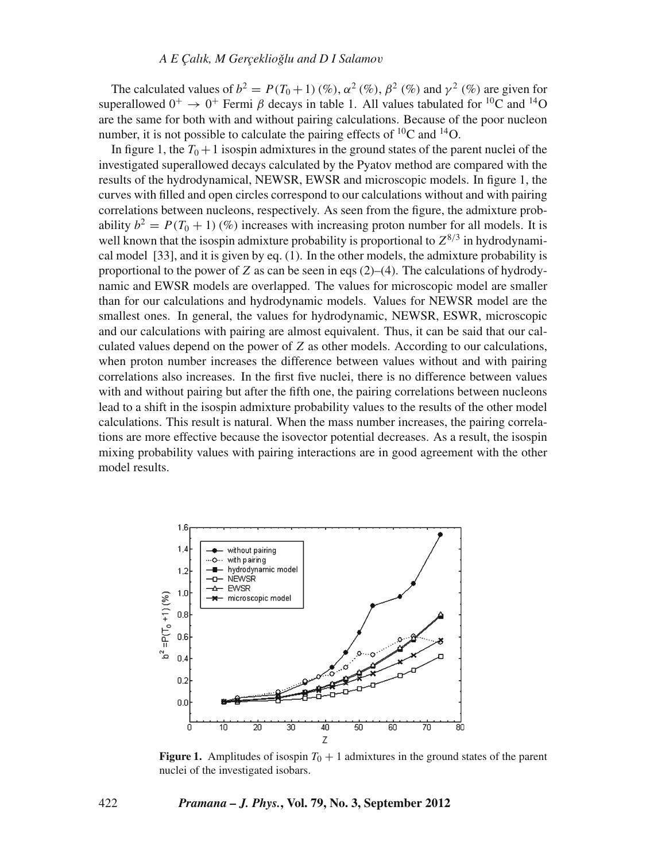The calculated values of  $b^2 = P(T_0 + 1)(\%)$ ,  $\alpha^2(\%)$ ,  $\beta^2(\%)$  and  $\gamma^2(\%)$  are given for superallowed  $0^+ \rightarrow 0^+$  Fermi *β* decays in table 1. All values tabulated for <sup>10</sup>C and <sup>14</sup>O are the same for both with and without pairing calculations. Because of the poor nucleon number, it is not possible to calculate the pairing effects of  ${}^{10}C$  and  ${}^{14}O$ .

In figure 1, the  $T_0 + 1$  isospin admixtures in the ground states of the parent nuclei of the investigated superallowed decays calculated by the Pyatov method are compared with the results of the hydrodynamical, NEWSR, EWSR and microscopic models. In figure 1, the curves with filled and open circles correspond to our calculations without and with pairing correlations between nucleons, respectively. As seen from the figure, the admixture probability  $b^2 = P(T_0 + 1)(\%)$  increases with increasing proton number for all models. It is well known that the isospin admixture probability is proportional to  $Z^{8/3}$  in hydrodynamical model [33], and it is given by eq. (1). In the other models, the admixture probability is proportional to the power of *Z* as can be seen in eqs  $(2)$ –(4). The calculations of hydrodynamic and EWSR models are overlapped. The values for microscopic model are smaller than for our calculations and hydrodynamic models. Values for NEWSR model are the smallest ones. In general, the values for hydrodynamic, NEWSR, ESWR, microscopic and our calculations with pairing are almost equivalent. Thus, it can be said that our calculated values depend on the power of *Z* as other models. According to our calculations, when proton number increases the difference between values without and with pairing correlations also increases. In the first five nuclei, there is no difference between values with and without pairing but after the fifth one, the pairing correlations between nucleons lead to a shift in the isospin admixture probability values to the results of the other model calculations. This result is natural. When the mass number increases, the pairing correlations are more effective because the isovector potential decreases. As a result, the isospin mixing probability values with pairing interactions are in good agreement with the other model results.



**Figure 1.** Amplitudes of isospin  $T_0 + 1$  admixtures in the ground states of the parent nuclei of the investigated isobars.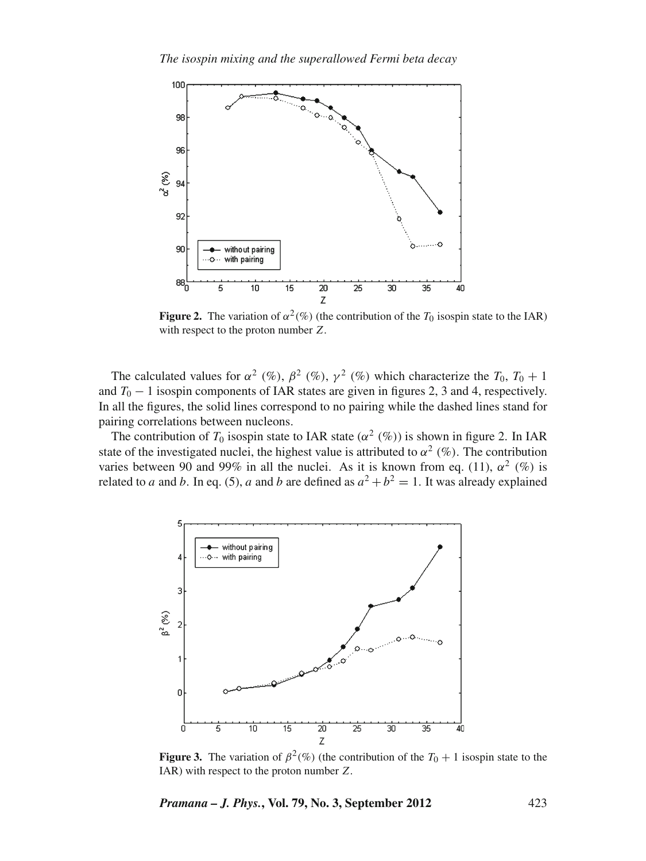

**Figure 2.** The variation of  $\alpha^2(\%)$  (the contribution of the *T*<sub>0</sub> isospin state to the IAR) with respect to the proton number *Z*.

The calculated values for  $\alpha^2$  (%),  $\beta^2$  (%),  $\gamma^2$  (%) which characterize the  $T_0$ ,  $T_0 + 1$ and  $T_0 - 1$  isospin components of IAR states are given in figures 2, 3 and 4, respectively. In all the figures, the solid lines correspond to no pairing while the dashed lines stand for pairing correlations between nucleons.

The contribution of  $T_0$  isospin state to IAR state ( $\alpha^2$  (%)) is shown in figure 2. In IAR state of the investigated nuclei, the highest value is attributed to  $\alpha^2$  (%). The contribution varies between 90 and 99% in all the nuclei. As it is known from eq. (11),  $\alpha^2$  (%) is related to *a* and *b*. In eq. (5), *a* and *b* are defined as  $a^2 + b^2 = 1$ . It was already explained



**Figure 3.** The variation of  $\beta^2(\%)$  (the contribution of the  $T_0 + 1$  isospin state to the IAR) with respect to the proton number *Z*.

*Pramana – J. Phys.***, Vol. 79, No. 3, September 2012** 423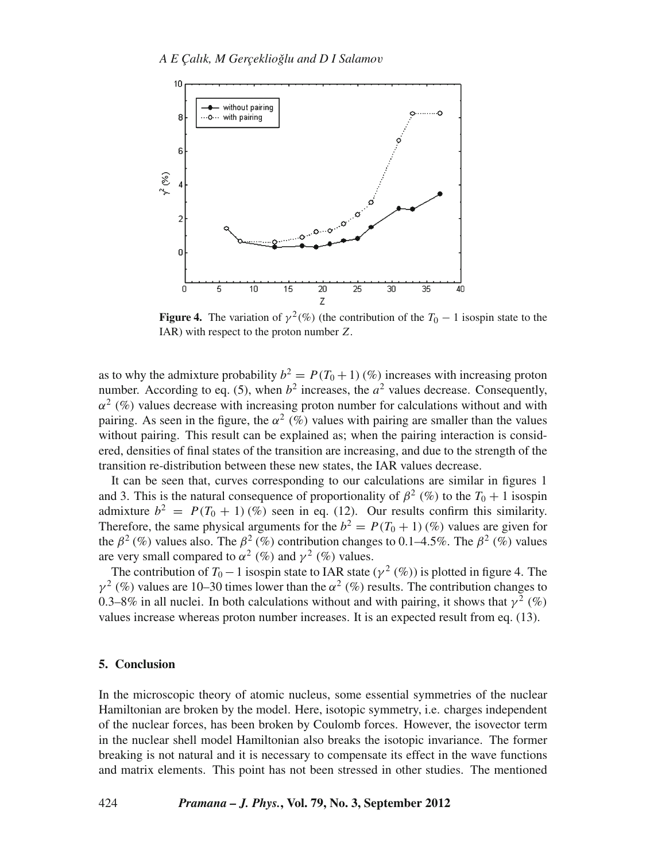

**Figure 4.** The variation of  $\gamma^2(\%)$  (the contribution of the  $T_0 - 1$  isospin state to the IAR) with respect to the proton number *Z*.

as to why the admixture probability  $b^2 = P(T_0 + 1)(\%)$  increases with increasing proton number. According to eq. (5), when  $b^2$  increases, the  $a^2$  values decrease. Consequently,  $\alpha^2$  (%) values decrease with increasing proton number for calculations without and with pairing. As seen in the figure, the  $\alpha^2$  (%) values with pairing are smaller than the values without pairing. This result can be explained as; when the pairing interaction is considered, densities of final states of the transition are increasing, and due to the strength of the transition re-distribution between these new states, the IAR values decrease.

It can be seen that, curves corresponding to our calculations are similar in figures 1 and 3. This is the natural consequence of proportionality of  $\beta^2$  (%) to the  $T_0 + 1$  isospin admixture  $b^2 = P(T_0 + 1)(\%)$  seen in eq. (12). Our results confirm this similarity. Therefore, the same physical arguments for the  $b^2 = P(T_0 + 1)(%$  values are given for the  $\beta^2$  (%) values also. The  $\beta^2$  (%) contribution changes to 0.1–4.5%. The  $\beta^2$  (%) values are very small compared to  $\alpha^2$  (%) and  $\gamma^2$  (%) values.

The contribution of  $T_0 - 1$  isospin state to IAR state ( $\gamma^2$  (%)) is plotted in figure 4. The  $\gamma^2$  (%) values are 10–30 times lower than the  $\alpha^2$  (%) results. The contribution changes to 0.3–8% in all nuclei. In both calculations without and with pairing, it shows that  $y^2$  (%) values increase whereas proton number increases. It is an expected result from eq. (13).

## **5. Conclusion**

In the microscopic theory of atomic nucleus, some essential symmetries of the nuclear Hamiltonian are broken by the model. Here, isotopic symmetry, i.e. charges independent of the nuclear forces, has been broken by Coulomb forces. However, the isovector term in the nuclear shell model Hamiltonian also breaks the isotopic invariance. The former breaking is not natural and it is necessary to compensate its effect in the wave functions and matrix elements. This point has not been stressed in other studies. The mentioned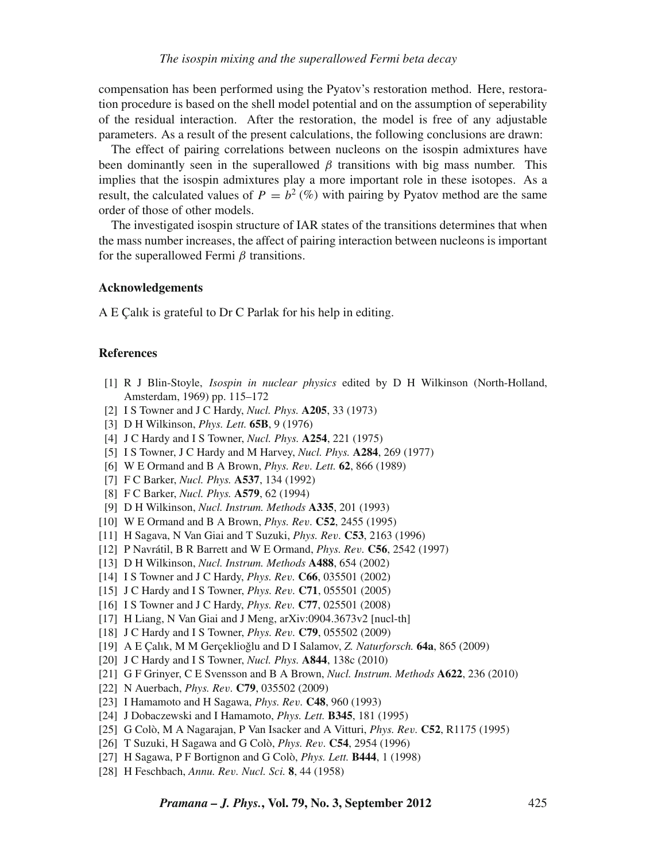compensation has been performed using the Pyatov's restoration method. Here, restoration procedure is based on the shell model potential and on the assumption of seperability of the residual interaction. After the restoration, the model is free of any adjustable parameters. As a result of the present calculations, the following conclusions are drawn:

The effect of pairing correlations between nucleons on the isospin admixtures have been dominantly seen in the superallowed  $\beta$  transitions with big mass number. This implies that the isospin admixtures play a more important role in these isotopes. As a result, the calculated values of  $P = b^2$  (%) with pairing by Pyatov method are the same order of those of other models.

The investigated isospin structure of IAR states of the transitions determines that when the mass number increases, the affect of pairing interaction between nucleons is important for the superallowed Fermi  $\beta$  transitions.

## **Acknowledgements**

A E Çalık is grateful to Dr C Parlak for his help in editing.

## **References**

- [1] R J Blin-Stoyle, *Isospin in nuclear physics* edited by D H Wilkinson (North-Holland, Amsterdam, 1969) pp. 115–172
- [2] I S Towner and J C Hardy, *Nucl. Phys.* **A205**, 33 (1973)
- [3] D H Wilkinson, *Phys. Lett.* **65B**, 9 (1976)
- [4] J C Hardy and I S Towner, *Nucl. Phys.* **A254**, 221 (1975)
- [5] I S Towner, J C Hardy and M Harvey, *Nucl. Phys.* **A284**, 269 (1977)
- [6] W E Ormand and B A Brown, *Phys. Re*v*. Lett.* **62**, 866 (1989)
- [7] F C Barker, *Nucl. Phys.* **A537**, 134 (1992)
- [8] F C Barker, *Nucl. Phys.* **A579**, 62 (1994)
- [9] D H Wilkinson, *Nucl. Instrum. Methods* **A335**, 201 (1993)
- [10] W E Ormand and B A Brown, *Phys. Re*v*.* **C52**, 2455 (1995)
- [11] H Sagava, N Van Giai and T Suzuki, *Phys. Re*v*.* **C53**, 2163 (1996)
- [12] P Navrátil, B R Barrett and W E Ormand, *Phys. Re*v*.* **C56**, 2542 (1997)
- [13] D H Wilkinson, *Nucl. Instrum. Methods* **A488**, 654 (2002)
- [14] I S Towner and J C Hardy, *Phys. Re*v*.* **C66**, 035501 (2002)
- [15] J C Hardy and I S Towner, *Phys. Re*v*.* **C71**, 055501 (2005)
- [16] I S Towner and J C Hardy, *Phys. Re*v*.* **C77**, 025501 (2008)
- [17] H Liang, N Van Giai and J Meng, arXiv:0904.3673v2 [nucl-th]
- [18] J C Hardy and I S Towner, *Phys. Re*v*.* **C79**, 055502 (2009)
- [19] A E Çalık, M M Gerçeklioğlu and D I Salamov, Z. *Naturforsch*. **64a**, 865 (2009)
- [20] J C Hardy and I S Towner, *Nucl. Phys.* **A844**, 138c (2010)
- [21] G F Grinyer, C E Svensson and B A Brown, *Nucl. Instrum. Methods* **A622**, 236 (2010)
- [22] N Auerbach, *Phys. Re*v*.* **C79**, 035502 (2009)
- [23] I Hamamoto and H Sagawa, *Phys. Re*v*.* **C48**, 960 (1993)
- [24] J Dobaczewski and I Hamamoto, *Phys. Lett.* **B345**, 181 (1995)
- [25] G Colò, M A Nagarajan, P Van Isacker and A Vitturi, *Phys. Re*v*.* **C52**, R1175 (1995)
- [26] T Suzuki, H Sagawa and G Colò, *Phys. Re*v*.* **C54**, 2954 (1996)
- [27] H Sagawa, P F Bortignon and G Colò, *Phys. Lett.* **B444**, 1 (1998)
- [28] H Feschbach, *Annu. Re*v*. Nucl. Sci.* **8**, 44 (1958)